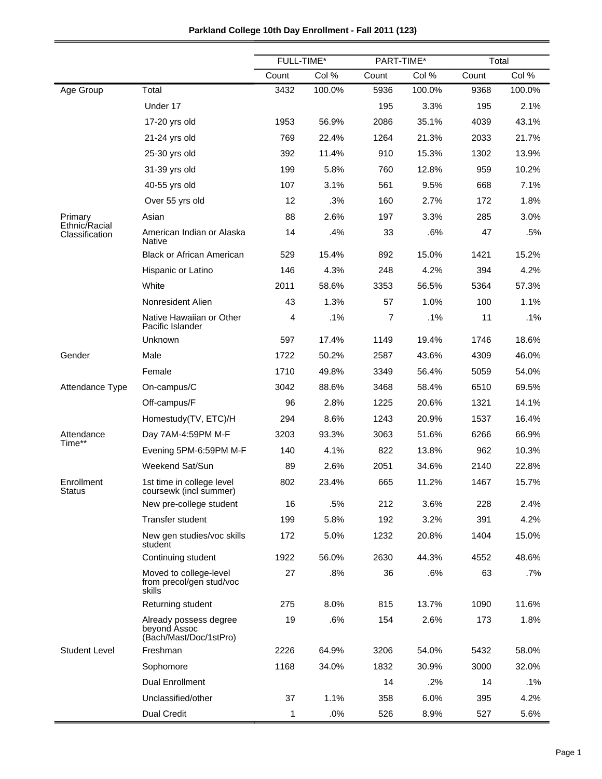## **Parkland College 10th Day Enrollment - Fall 2011 (123)**

|                                 |                                                                  | FULL-TIME* |        | PART-TIME* |        | Total |        |
|---------------------------------|------------------------------------------------------------------|------------|--------|------------|--------|-------|--------|
|                                 |                                                                  | Count      | Col %  | Count      | Col %  | Count | Col %  |
| Age Group                       | Total                                                            | 3432       | 100.0% | 5936       | 100.0% | 9368  | 100.0% |
|                                 | Under 17                                                         |            |        | 195        | 3.3%   | 195   | 2.1%   |
|                                 | 17-20 yrs old                                                    | 1953       | 56.9%  | 2086       | 35.1%  | 4039  | 43.1%  |
|                                 | 21-24 yrs old                                                    | 769        | 22.4%  | 1264       | 21.3%  | 2033  | 21.7%  |
|                                 | 25-30 yrs old                                                    | 392        | 11.4%  | 910        | 15.3%  | 1302  | 13.9%  |
|                                 | 31-39 yrs old                                                    | 199        | 5.8%   | 760        | 12.8%  | 959   | 10.2%  |
|                                 | 40-55 yrs old                                                    | 107        | 3.1%   | 561        | 9.5%   | 668   | 7.1%   |
|                                 | Over 55 yrs old                                                  | 12         | .3%    | 160        | 2.7%   | 172   | 1.8%   |
| Primary                         | Asian                                                            | 88         | 2.6%   | 197        | 3.3%   | 285   | 3.0%   |
| Ethnic/Racial<br>Classification | American Indian or Alaska<br>Native                              | 14         | .4%    | 33         | .6%    | 47    | .5%    |
|                                 | <b>Black or African American</b>                                 | 529        | 15.4%  | 892        | 15.0%  | 1421  | 15.2%  |
|                                 | Hispanic or Latino                                               | 146        | 4.3%   | 248        | 4.2%   | 394   | 4.2%   |
|                                 | White                                                            | 2011       | 58.6%  | 3353       | 56.5%  | 5364  | 57.3%  |
|                                 | Nonresident Alien                                                | 43         | 1.3%   | 57         | 1.0%   | 100   | 1.1%   |
|                                 | Native Hawaiian or Other<br>Pacific Islander                     | 4          | .1%    | 7          | .1%    | 11    | .1%    |
|                                 | Unknown                                                          | 597        | 17.4%  | 1149       | 19.4%  | 1746  | 18.6%  |
| Gender                          | Male                                                             | 1722       | 50.2%  | 2587       | 43.6%  | 4309  | 46.0%  |
|                                 | Female                                                           | 1710       | 49.8%  | 3349       | 56.4%  | 5059  | 54.0%  |
| Attendance Type                 | On-campus/C                                                      | 3042       | 88.6%  | 3468       | 58.4%  | 6510  | 69.5%  |
|                                 | Off-campus/F                                                     | 96         | 2.8%   | 1225       | 20.6%  | 1321  | 14.1%  |
|                                 | Homestudy(TV, ETC)/H                                             | 294        | 8.6%   | 1243       | 20.9%  | 1537  | 16.4%  |
| Attendance                      | Day 7AM-4:59PM M-F                                               | 3203       | 93.3%  | 3063       | 51.6%  | 6266  | 66.9%  |
| Time**                          | Evening 5PM-6:59PM M-F                                           | 140        | 4.1%   | 822        | 13.8%  | 962   | 10.3%  |
|                                 | Weekend Sat/Sun                                                  | 89         | 2.6%   | 2051       | 34.6%  | 2140  | 22.8%  |
| Enrollment<br>Status            | 1st time in college level<br>coursewk (incl summer)              | 802        | 23.4%  | 665        | 11.2%  | 1467  | 15.7%  |
|                                 | New pre-college student                                          | 16         | .5%    | 212        | 3.6%   | 228   | 2.4%   |
|                                 | <b>Transfer student</b>                                          | 199        | 5.8%   | 192        | 3.2%   | 391   | 4.2%   |
|                                 | New gen studies/voc skills<br>student                            | 172        | 5.0%   | 1232       | 20.8%  | 1404  | 15.0%  |
|                                 | Continuing student                                               | 1922       | 56.0%  | 2630       | 44.3%  | 4552  | 48.6%  |
|                                 | Moved to college-level<br>from precol/gen stud/voc<br>skills     | 27         | .8%    | 36         | .6%    | 63    | .7%    |
|                                 | Returning student                                                | 275        | 8.0%   | 815        | 13.7%  | 1090  | 11.6%  |
|                                 | Already possess degree<br>beyond Assoc<br>(Bach/Mast/Doc/1stPro) | 19         | .6%    | 154        | 2.6%   | 173   | 1.8%   |
| <b>Student Level</b>            | Freshman                                                         | 2226       | 64.9%  | 3206       | 54.0%  | 5432  | 58.0%  |
|                                 | Sophomore                                                        | 1168       | 34.0%  | 1832       | 30.9%  | 3000  | 32.0%  |
|                                 | Dual Enrollment                                                  |            |        | 14         | .2%    | 14    | .1%    |
|                                 | Unclassified/other                                               | 37         | 1.1%   | 358        | 6.0%   | 395   | 4.2%   |
|                                 | <b>Dual Credit</b>                                               | 1          | .0%    | 526        | 8.9%   | 527   | 5.6%   |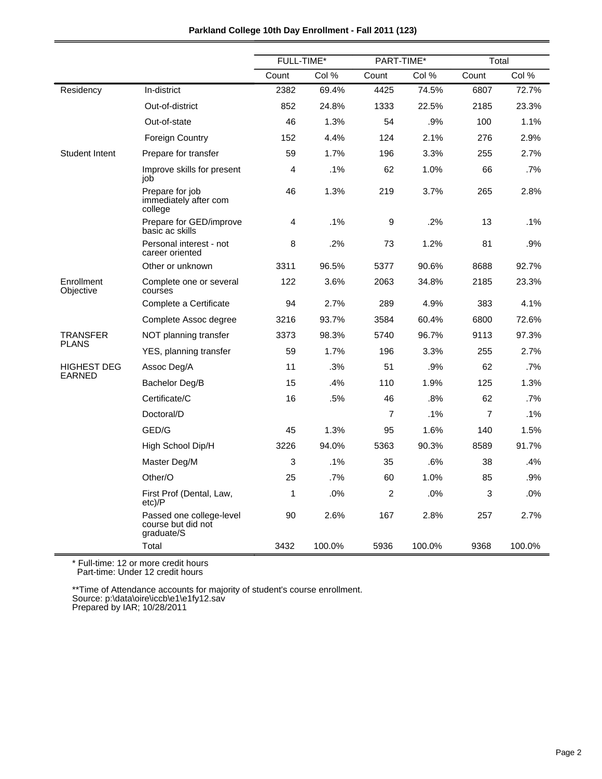|                         |                                                              | <b>FULL-TIME*</b> |        | PART-TIME*     |        | Total          |        |
|-------------------------|--------------------------------------------------------------|-------------------|--------|----------------|--------|----------------|--------|
|                         |                                                              | Count             | Col %  | Count          | Col %  | Count          | Col %  |
| Residency               | In-district                                                  | 2382              | 69.4%  | 4425           | 74.5%  | 6807           | 72.7%  |
|                         | Out-of-district                                              | 852               | 24.8%  | 1333           | 22.5%  | 2185           | 23.3%  |
|                         | Out-of-state                                                 | 46                | 1.3%   | 54             | .9%    | 100            | 1.1%   |
|                         | <b>Foreign Country</b>                                       | 152               | 4.4%   | 124            | 2.1%   | 276            | 2.9%   |
| <b>Student Intent</b>   | Prepare for transfer                                         | 59                | 1.7%   | 196            | 3.3%   | 255            | 2.7%   |
|                         | Improve skills for present<br>job                            | 4                 | $.1\%$ | 62             | 1.0%   | 66             | .7%    |
|                         | Prepare for job<br>immediately after com<br>college          | 46                | 1.3%   | 219            | 3.7%   | 265            | 2.8%   |
|                         | Prepare for GED/improve<br>basic ac skills                   | 4                 | .1%    | 9              | .2%    | 13             | $.1\%$ |
|                         | Personal interest - not<br>career oriented                   | 8                 | $.2\%$ | 73             | 1.2%   | 81             | .9%    |
|                         | Other or unknown                                             | 3311              | 96.5%  | 5377           | 90.6%  | 8688           | 92.7%  |
| Enrollment<br>Objective | Complete one or several<br>courses                           | 122               | 3.6%   | 2063           | 34.8%  | 2185           | 23.3%  |
|                         | Complete a Certificate                                       | 94                | 2.7%   | 289            | 4.9%   | 383            | 4.1%   |
|                         | Complete Assoc degree                                        | 3216              | 93.7%  | 3584           | 60.4%  | 6800           | 72.6%  |
| TRANSFER                | NOT planning transfer                                        | 3373              | 98.3%  | 5740           | 96.7%  | 9113           | 97.3%  |
| <b>PLANS</b>            | YES, planning transfer                                       | 59                | 1.7%   | 196            | 3.3%   | 255            | 2.7%   |
| <b>HIGHEST DEG</b>      | Assoc Deg/A                                                  | 11                | .3%    | 51             | .9%    | 62             | .7%    |
| <b>EARNED</b>           | Bachelor Deg/B                                               | 15                | .4%    | 110            | 1.9%   | 125            | 1.3%   |
|                         | Certificate/C                                                | 16                | .5%    | 46             | .8%    | 62             | .7%    |
|                         | Doctoral/D                                                   |                   |        | $\overline{7}$ | .1%    | $\overline{7}$ | .1%    |
|                         | GED/G                                                        | 45                | 1.3%   | 95             | 1.6%   | 140            | 1.5%   |
|                         | High School Dip/H                                            | 3226              | 94.0%  | 5363           | 90.3%  | 8589           | 91.7%  |
|                         | Master Deg/M                                                 | 3                 | .1%    | 35             | .6%    | 38             | .4%    |
|                         | Other/O                                                      | 25                | .7%    | 60             | 1.0%   | 85             | .9%    |
|                         | First Prof (Dental, Law,<br>$etc$ )/P                        | 1                 | .0%    | 2              | .0%    | 3              | .0%    |
|                         | Passed one college-level<br>course but did not<br>graduate/S | 90                | 2.6%   | 167            | 2.8%   | 257            | 2.7%   |
|                         | Total                                                        | 3432              | 100.0% | 5936           | 100.0% | 9368           | 100.0% |

\*\*Time of Attendance accounts for majority of student's course enrollment. Source: p:\data\oire\iccb\e1\e1fy12.sav

Prepared by IAR; 10/28/2011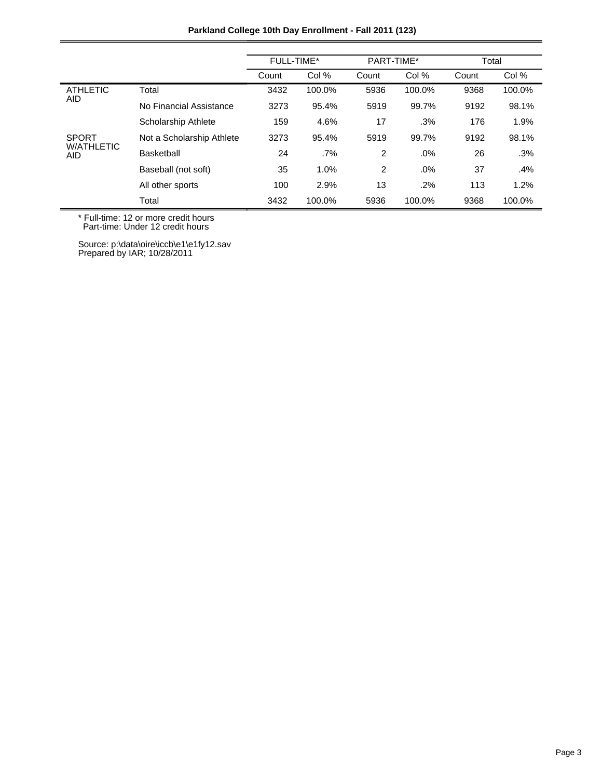|                          |                           | FULL-TIME* |        | PART-TIME*     |        | Total |        |
|--------------------------|---------------------------|------------|--------|----------------|--------|-------|--------|
|                          |                           | Count      | Col %  | Count          | Col %  | Count | Col %  |
| <b>ATHLETIC</b>          | Total                     | 3432       | 100.0% | 5936           | 100.0% | 9368  | 100.0% |
| <b>AID</b>               | No Financial Assistance   | 3273       | 95.4%  | 5919           | 99.7%  | 9192  | 98.1%  |
|                          | Scholarship Athlete       | 159        | 4.6%   | 17             | .3%    | 176   | 1.9%   |
| <b>SPORT</b>             | Not a Scholarship Athlete | 3273       | 95.4%  | 5919           | 99.7%  | 9192  | 98.1%  |
| <b>W/ATHLETIC</b><br>AID | Basketball                | 24         | $.7\%$ | $\overline{2}$ | .0%    | 26    | .3%    |
|                          | Baseball (not soft)       | 35         | 1.0%   | $\overline{2}$ | .0%    | 37    | .4%    |
|                          | All other sports          | 100        | 2.9%   | 13             | .2%    | 113   | 1.2%   |
|                          | Total                     | 3432       | 100.0% | 5936           | 100.0% | 9368  | 100.0% |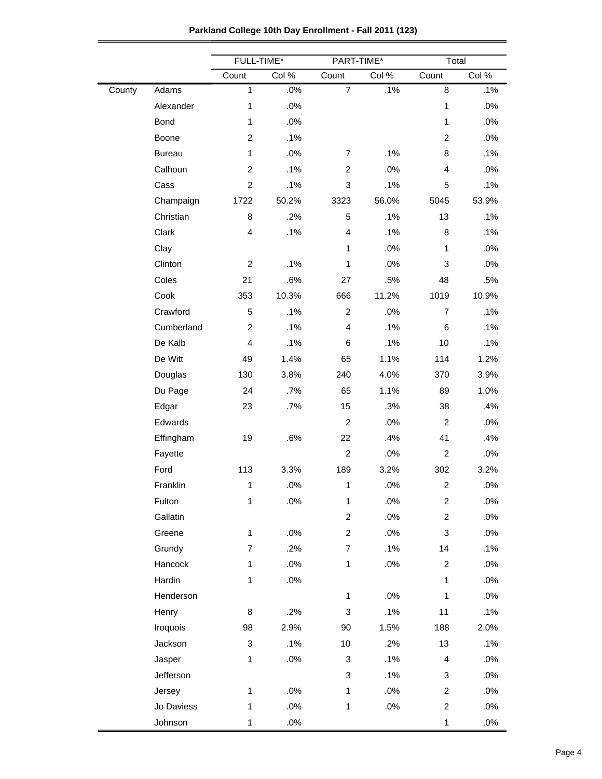|        |               | FULL-TIME*     |        | PART-TIME*              |        | Total                   |        |
|--------|---------------|----------------|--------|-------------------------|--------|-------------------------|--------|
|        |               | Count          | Col %  | Count                   | Col %  | Count                   | Col %  |
| County | Adams         | $\mathbf{1}$   | .0%    | $\overline{7}$          | .1%    | 8                       | .1%    |
|        | Alexander     | $\mathbf{1}$   | .0%    |                         |        | $\mathbf{1}$            | .0%    |
|        | Bond          | 1              | .0%    |                         |        | $\mathbf{1}$            | .0%    |
|        | Boone         | $\overline{2}$ | .1%    |                         |        | $\overline{2}$          | .0%    |
|        | <b>Bureau</b> | $\mathbf{1}$   | .0%    | $\overline{7}$          | .1%    | 8                       | .1%    |
|        | Calhoun       | $\overline{c}$ | .1%    | $\overline{c}$          | .0%    | $\overline{\mathbf{4}}$ | .0%    |
|        | Cass          | $\overline{2}$ | .1%    | 3                       | .1%    | 5                       | .1%    |
|        | Champaign     | 1722           | 50.2%  | 3323                    | 56.0%  | 5045                    | 53.9%  |
|        | Christian     | 8              | .2%    | 5                       | .1%    | 13                      | .1%    |
|        | Clark         | $\overline{4}$ | .1%    | $\overline{\mathbf{4}}$ | .1%    | 8                       | .1%    |
|        | Clay          |                |        | $\mathbf{1}$            | .0%    | $\mathbf{1}$            | .0%    |
|        | Clinton       | $\overline{c}$ | .1%    | $\mathbf{1}$            | .0%    | 3                       | .0%    |
|        | Coles         | 21             | .6%    | 27                      | .5%    | 48                      | .5%    |
|        | Cook          | 353            | 10.3%  | 666                     | 11.2%  | 1019                    | 10.9%  |
|        | Crawford      | 5              | .1%    | $\overline{2}$          | .0%    | $\overline{7}$          | .1%    |
|        | Cumberland    | $\overline{c}$ | .1%    | $\overline{\mathbf{4}}$ | .1%    | 6                       | .1%    |
|        | De Kalb       | 4              | .1%    | 6                       | .1%    | 10                      | .1%    |
|        | De Witt       | 49             | 1.4%   | 65                      | 1.1%   | 114                     | 1.2%   |
|        | Douglas       | 130            | 3.8%   | 240                     | 4.0%   | 370                     | 3.9%   |
|        | Du Page       | 24             | .7%    | 65                      | 1.1%   | 89                      | 1.0%   |
|        | Edgar         | 23             | .7%    | 15                      | .3%    | 38                      | .4%    |
|        | Edwards       |                |        | $\overline{c}$          | .0%    | $\overline{c}$          | .0%    |
|        | Effingham     | 19             | .6%    | 22                      | .4%    | 41                      | .4%    |
|        | Fayette       |                |        | $\boldsymbol{2}$        | .0%    | $\overline{c}$          | .0%    |
|        | Ford          | 113            | 3.3%   | 189                     | 3.2%   | 302                     | 3.2%   |
|        | Franklin      | 1              | .0%    | $\mathbf 1$             | .0%    | $\overline{c}$          | .0%    |
|        | Fulton        | $\mathbf{1}$   | $.0\%$ | $\mathbf{1}$            | $.0\%$ | $\overline{c}$          | .0%    |
|        | Gallatin      |                |        | $\overline{c}$          | $.0\%$ | $\overline{c}$          | $.0\%$ |
|        | Greene        | $\mathbf{1}$   | .0%    | $\overline{c}$          | .0%    | 3                       | .0%    |
|        | Grundy        | $\overline{7}$ | .2%    | $\overline{7}$          | .1%    | 14                      | .1%    |
|        | Hancock       | $\mathbf{1}$   | .0%    | $\mathbf{1}$            | .0%    | $\overline{c}$          | .0%    |
|        | Hardin        | $\mathbf{1}$   | .0%    |                         |        | $\mathbf{1}$            | .0%    |
|        | Henderson     |                |        | $\mathbf{1}$            | .0%    | $\mathbf{1}$            | .0%    |
|        | Henry         | 8              | .2%    | 3                       | .1%    | 11                      | .1%    |
|        | Iroquois      | 98             | 2.9%   | 90                      | 1.5%   | 188                     | 2.0%   |
|        | Jackson       | 3              | .1%    | 10                      | .2%    | 13                      | .1%    |
|        | Jasper        | $\mathbf{1}$   | .0%    | 3                       | .1%    | $\overline{\mathbf{4}}$ | .0%    |
|        | Jefferson     |                |        | 3                       | .1%    | 3                       | .0%    |
|        | Jersey        | $\mathbf{1}$   | .0%    | $\mathbf{1}$            | $.0\%$ | $\overline{c}$          | .0%    |
|        | Jo Daviess    | $\mathbf{1}$   | .0%    | $\mathbf{1}$            | $.0\%$ | $\overline{c}$          | .0%    |
|        | Johnson       | $\mathbf{1}$   | $.0\%$ |                         |        | $\mathbf{1}$            | .0%    |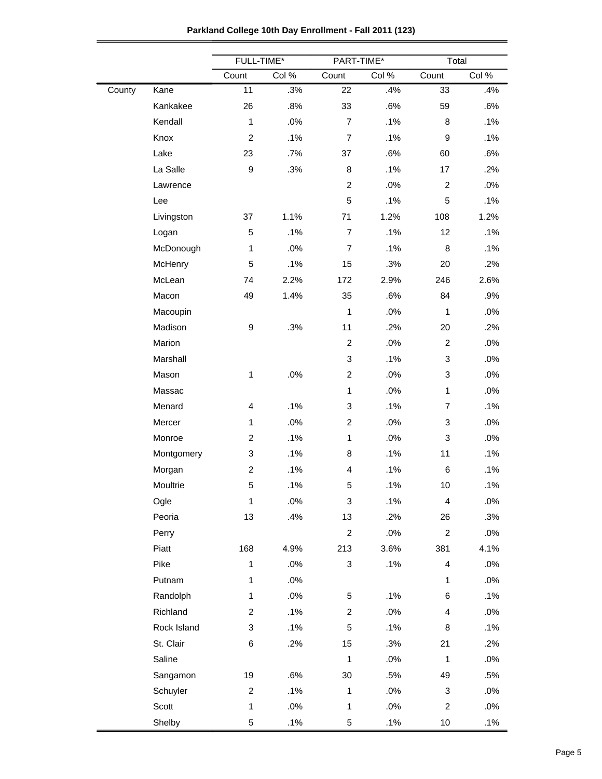|  | Parkland College 10th Day Enrollment - Fall 2011 (123) |
|--|--------------------------------------------------------|
|--|--------------------------------------------------------|

|        |             | FULL-TIME*              |        | PART-TIME*                |        | Total                   |        |
|--------|-------------|-------------------------|--------|---------------------------|--------|-------------------------|--------|
|        |             | Count                   | Col %  | Count                     | Col %  | Count                   | Col %  |
| County | Kane        | 11                      | .3%    | 22                        | .4%    | 33                      | .4%    |
|        | Kankakee    | 26                      | .8%    | 33                        | .6%    | 59                      | .6%    |
|        | Kendall     | $\mathbf{1}$            | .0%    | $\overline{7}$            | .1%    | 8                       | .1%    |
|        | Knox        | $\overline{c}$          | .1%    | $\overline{7}$            | .1%    | 9                       | .1%    |
|        | Lake        | 23                      | .7%    | 37                        | .6%    | 60                      | .6%    |
|        | La Salle    | $\boldsymbol{9}$        | .3%    | $\bf8$                    | .1%    | 17                      | .2%    |
|        | Lawrence    |                         |        | $\boldsymbol{2}$          | .0%    | $\boldsymbol{2}$        | .0%    |
|        | Lee         |                         |        | $\mathbf 5$               | .1%    | 5                       | .1%    |
|        | Livingston  | 37                      | 1.1%   | 71                        | 1.2%   | 108                     | 1.2%   |
|        | Logan       | 5                       | .1%    | $\overline{7}$            | .1%    | 12                      | .1%    |
|        | McDonough   | $\mathbf{1}$            | .0%    | $\overline{7}$            | .1%    | 8                       | .1%    |
|        | McHenry     | 5                       | .1%    | 15                        | .3%    | 20                      | .2%    |
|        | McLean      | 74                      | 2.2%   | 172                       | 2.9%   | 246                     | 2.6%   |
|        | Macon       | 49                      | 1.4%   | 35                        | .6%    | 84                      | .9%    |
|        | Macoupin    |                         |        | $\mathbf{1}$              | $.0\%$ | $\mathbf{1}$            | .0%    |
|        | Madison     | 9                       | .3%    | 11                        | .2%    | 20                      | .2%    |
|        | Marion      |                         |        | $\overline{c}$            | .0%    | $\overline{c}$          | .0%    |
|        | Marshall    |                         |        | 3                         | .1%    | 3                       | $.0\%$ |
|        | Mason       | $\mathbf{1}$            | .0%    | $\overline{c}$            | .0%    | 3                       | .0%    |
|        | Massac      |                         |        | $\mathbf{1}$              | .0%    | $\mathbf{1}$            | .0%    |
|        | Menard      | $\overline{\mathbf{4}}$ | .1%    | 3                         | .1%    | $\overline{7}$          | .1%    |
|        | Mercer      | $\mathbf{1}$            | .0%    | $\overline{c}$            | .0%    | 3                       | .0%    |
|        | Monroe      | $\overline{c}$          | .1%    | $\mathbf{1}$              | .0%    | 3                       | .0%    |
|        | Montgomery  | 3                       | .1%    | 8                         | .1%    | 11                      | .1%    |
|        | Morgan      | $\overline{c}$          | .1%    | 4                         | .1%    | 6                       | .1%    |
|        | Moultrie    | 5                       | .1%    | 5                         | .1%    | 10                      | .1%    |
|        | Ogle        | $\mathbf{1}$            | $.0\%$ | 3                         | .1%    | 4                       | .0%    |
|        | Peoria      | 13                      | .4%    | 13                        | .2%    | 26                      | .3%    |
|        | Perry       |                         |        | $\overline{c}$            | $.0\%$ | $\overline{c}$          | $.0\%$ |
|        | Piatt       | 168                     | 4.9%   | 213                       | 3.6%   | 381                     | 4.1%   |
|        | Pike        | $\mathbf{1}$            | $.0\%$ | $\ensuremath{\mathsf{3}}$ | .1%    | 4                       | .0%    |
|        | Putnam      | $\mathbf{1}$            | $.0\%$ |                           |        | $\mathbf{1}$            | $.0\%$ |
|        | Randolph    | $\mathbf{1}$            | $.0\%$ | 5                         | .1%    | 6                       | .1%    |
|        | Richland    | $\overline{c}$          | .1%    | $\overline{c}$            | $.0\%$ | $\overline{\mathbf{4}}$ | $.0\%$ |
|        | Rock Island | 3                       | .1%    | 5                         | .1%    | 8                       | .1%    |
|        | St. Clair   | 6                       | .2%    | 15                        | .3%    | 21                      | .2%    |
|        | Saline      |                         |        | $\mathbf{1}$              | $.0\%$ | $\mathbf{1}$            | .0%    |
|        | Sangamon    | 19                      | .6%    | $30\,$                    | .5%    | 49                      | .5%    |
|        | Schuyler    | $\overline{c}$          | .1%    | $\mathbf{1}$              | $.0\%$ | 3                       | $.0\%$ |
|        | Scott       | $\mathbf{1}$            | $.0\%$ | $\mathbf{1}$              | $.0\%$ | $\overline{c}$          | $.0\%$ |
|        | Shelby      | 5                       | .1%    | 5                         | .1%    | 10                      | .1%    |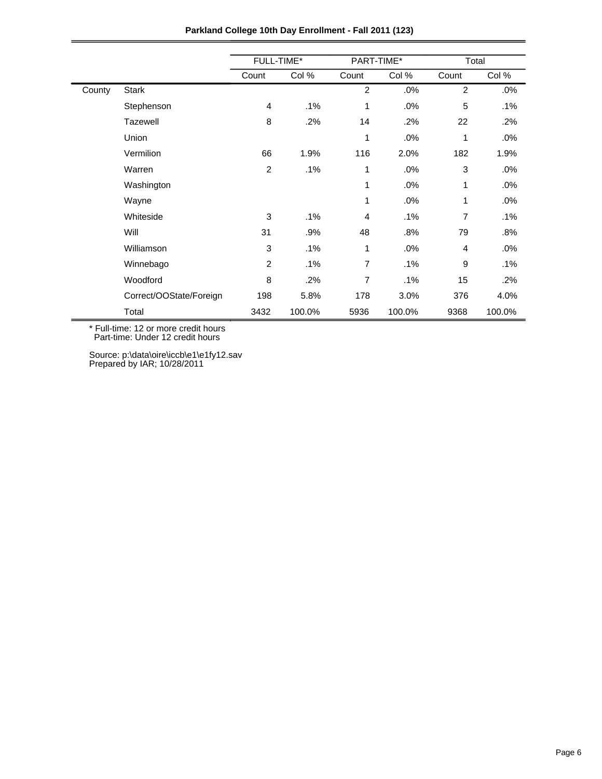|        |                         | FULL-TIME*     |        | PART-TIME*     |        | Total          |        |  |
|--------|-------------------------|----------------|--------|----------------|--------|----------------|--------|--|
|        |                         | Count          | Col %  | Count          | Col %  | Count          | Col %  |  |
| County | <b>Stark</b>            |                |        | $\overline{2}$ | .0%    | $\overline{2}$ | $.0\%$ |  |
|        | Stephenson              | $\overline{4}$ | .1%    | 1              | .0%    | 5              | .1%    |  |
|        | <b>Tazewell</b>         | $\bf8$         | .2%    | 14             | .2%    | 22             | .2%    |  |
|        | Union                   |                |        | 1              | .0%    | 1              | .0%    |  |
|        | Vermilion               | 66             | 1.9%   | 116            | 2.0%   | 182            | 1.9%   |  |
|        | Warren                  | $\overline{c}$ | .1%    | 1              | .0%    | 3              | .0%    |  |
|        | Washington              |                |        | $\mathbf{1}$   | .0%    | 1              | .0%    |  |
|        | Wayne                   |                |        | 1              | .0%    | 1              | $.0\%$ |  |
|        | Whiteside               | 3              | .1%    | 4              | .1%    | 7              | .1%    |  |
|        | Will                    | 31             | .9%    | 48             | .8%    | 79             | .8%    |  |
|        | Williamson              | 3              | .1%    | 1              | .0%    | 4              | $.0\%$ |  |
|        | Winnebago               | $\overline{2}$ | .1%    | 7              | .1%    | 9              | .1%    |  |
|        | Woodford                | 8              | .2%    | 7              | .1%    | 15             | $.2\%$ |  |
|        | Correct/OOState/Foreign | 198            | 5.8%   | 178            | 3.0%   | 376            | 4.0%   |  |
|        | Total                   | 3432           | 100.0% | 5936           | 100.0% | 9368           | 100.0% |  |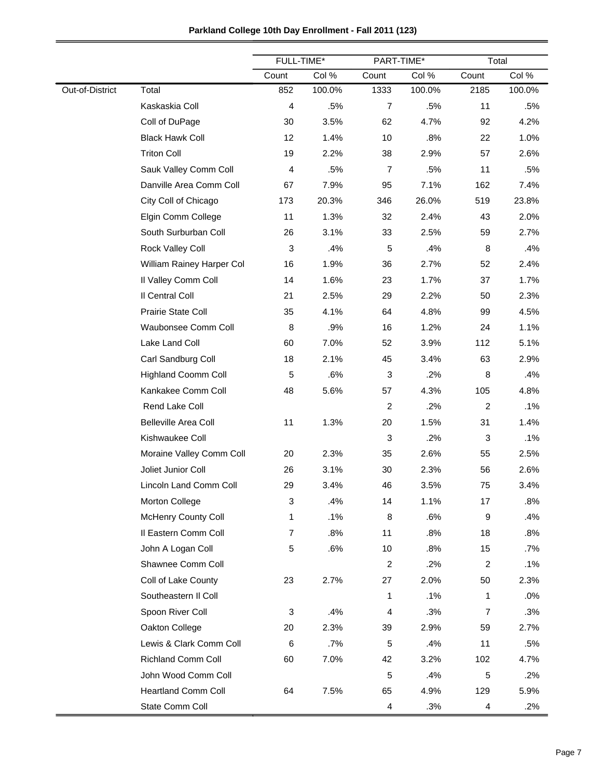|                 |                             |                | FULL-TIME*<br>PART-TIME* |                | Total  |                |        |
|-----------------|-----------------------------|----------------|--------------------------|----------------|--------|----------------|--------|
|                 |                             | Count          | Col %                    | Count          | Col %  | Count          | Col %  |
| Out-of-District | Total                       | 852            | 100.0%                   | 1333           | 100.0% | 2185           | 100.0% |
|                 | Kaskaskia Coll              | 4              | .5%                      | $\overline{7}$ | .5%    | 11             | .5%    |
|                 | Coll of DuPage              | 30             | 3.5%                     | 62             | 4.7%   | 92             | 4.2%   |
|                 | <b>Black Hawk Coll</b>      | 12             | 1.4%                     | 10             | .8%    | 22             | 1.0%   |
|                 | <b>Triton Coll</b>          | 19             | 2.2%                     | 38             | 2.9%   | 57             | 2.6%   |
|                 | Sauk Valley Comm Coll       | 4              | .5%                      | $\overline{7}$ | .5%    | 11             | .5%    |
|                 | Danville Area Comm Coll     | 67             | 7.9%                     | 95             | 7.1%   | 162            | 7.4%   |
|                 | City Coll of Chicago        | 173            | 20.3%                    | 346            | 26.0%  | 519            | 23.8%  |
|                 | Elgin Comm College          | 11             | 1.3%                     | 32             | 2.4%   | 43             | 2.0%   |
|                 | South Surburban Coll        | 26             | 3.1%                     | 33             | 2.5%   | 59             | 2.7%   |
|                 | Rock Valley Coll            | 3              | .4%                      | $\,$ 5 $\,$    | .4%    | 8              | .4%    |
|                 | William Rainey Harper Col   | 16             | 1.9%                     | 36             | 2.7%   | 52             | 2.4%   |
|                 | Il Valley Comm Coll         | 14             | 1.6%                     | 23             | 1.7%   | 37             | 1.7%   |
|                 | Il Central Coll             | 21             | 2.5%                     | 29             | 2.2%   | 50             | 2.3%   |
|                 | Prairie State Coll          | 35             | 4.1%                     | 64             | 4.8%   | 99             | 4.5%   |
|                 | Waubonsee Comm Coll         | 8              | .9%                      | 16             | 1.2%   | 24             | 1.1%   |
|                 | Lake Land Coll              | 60             | 7.0%                     | 52             | 3.9%   | 112            | 5.1%   |
|                 | Carl Sandburg Coll          | 18             | 2.1%                     | 45             | 3.4%   | 63             | 2.9%   |
|                 | <b>Highland Coomm Coll</b>  | 5              | .6%                      | 3              | .2%    | 8              | .4%    |
|                 | Kankakee Comm Coll          | 48             | 5.6%                     | 57             | 4.3%   | 105            | 4.8%   |
|                 | Rend Lake Coll              |                |                          | $\overline{c}$ | .2%    | 2              | .1%    |
|                 | <b>Belleville Area Coll</b> | 11             | 1.3%                     | 20             | 1.5%   | 31             | 1.4%   |
|                 | Kishwaukee Coll             |                |                          | 3              | .2%    | $\sqrt{3}$     | .1%    |
|                 | Moraine Valley Comm Coll    | 20             | 2.3%                     | 35             | 2.6%   | 55             | 2.5%   |
|                 | Joliet Junior Coll          | 26             | 3.1%                     | 30             | 2.3%   | 56             | 2.6%   |
|                 | Lincoln Land Comm Coll      | 29             | 3.4%                     | 46             | 3.5%   | 75             | 3.4%   |
|                 | Morton College              | 3              | .4%                      | 14             | 1.1%   | 17             | .8%    |
|                 | McHenry County Coll         | 1              | .1%                      | 8              | .6%    | 9              | .4%    |
|                 | Il Eastern Comm Coll        | $\overline{7}$ | .8%                      | 11             | .8%    | 18             | .8%    |
|                 | John A Logan Coll           | 5              | .6%                      | 10             | .8%    | 15             | $.7\%$ |
|                 | Shawnee Comm Coll           |                |                          | $\overline{c}$ | .2%    | 2              | .1%    |
|                 | Coll of Lake County         | 23             | 2.7%                     | 27             | 2.0%   | 50             | 2.3%   |
|                 | Southeastern II Coll        |                |                          | 1              | .1%    | 1              | .0%    |
|                 | Spoon River Coll            | 3              | .4%                      | 4              | .3%    | $\overline{7}$ | .3%    |
|                 | Oakton College              | 20             | 2.3%                     | 39             | 2.9%   | 59             | 2.7%   |
|                 | Lewis & Clark Comm Coll     | 6              | .7%                      | $\mathbf 5$    | .4%    | 11             | .5%    |
|                 | <b>Richland Comm Coll</b>   | 60             | 7.0%                     | 42             | 3.2%   | 102            | 4.7%   |
|                 | John Wood Comm Coll         |                |                          | $\mathbf 5$    | .4%    | 5              | .2%    |
|                 | <b>Heartland Comm Coll</b>  | 64             | 7.5%                     | 65             | 4.9%   | 129            | 5.9%   |
|                 | State Comm Coll             |                |                          | 4              | .3%    | 4              | .2%    |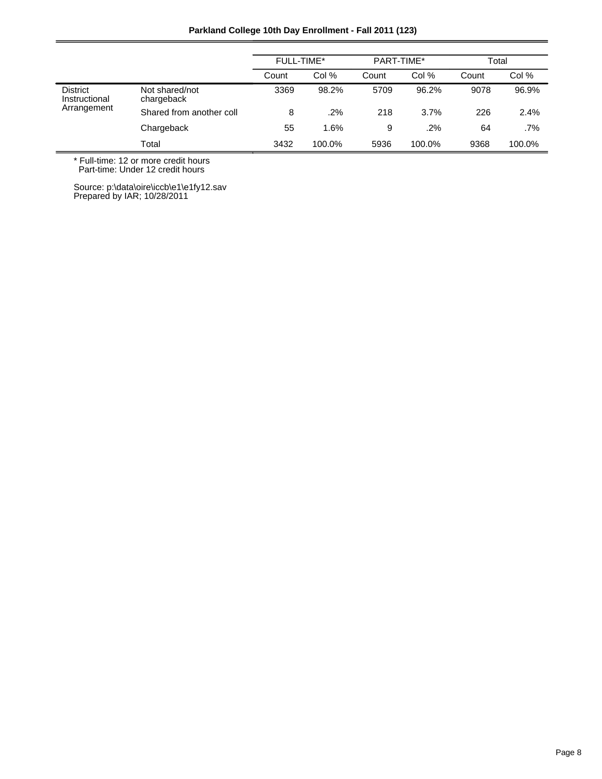|  |  | Parkland College 10th Day Enrollment - Fall 2011 (123) |  |
|--|--|--------------------------------------------------------|--|
|--|--|--------------------------------------------------------|--|

|                                                 |                              | FULL-TIME* |        | PART-TIME* |        | Total |        |
|-------------------------------------------------|------------------------------|------------|--------|------------|--------|-------|--------|
|                                                 |                              | Count      | Col %  | Count      | Col %  | Count | Col %  |
| <b>District</b><br>Instructional<br>Arrangement | Not shared/not<br>chargeback | 3369       | 98.2%  | 5709       | 96.2%  | 9078  | 96.9%  |
|                                                 | Shared from another coll     | 8          | .2%    | 218        | 3.7%   | 226   | 2.4%   |
|                                                 | Chargeback                   | 55         | 1.6%   | 9          | .2%    | 64    | $.7\%$ |
|                                                 | Total                        | 3432       | 100.0% | 5936       | 100.0% | 9368  | 100.0% |

\* Full-time: 12 or more credit hours

Part-time: Under 12 credit hours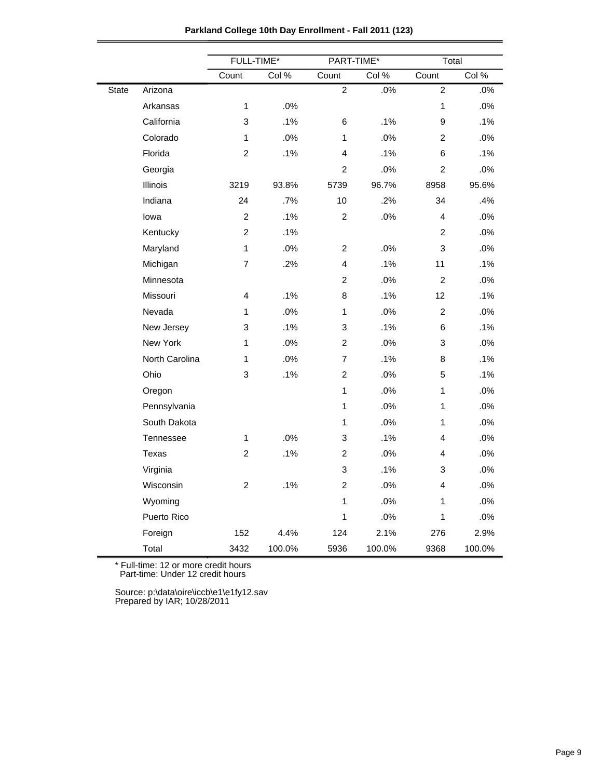|       |                | FULL-TIME*     |        | PART-TIME*     |        | Total          |        |
|-------|----------------|----------------|--------|----------------|--------|----------------|--------|
|       |                | Count          | Col %  | Count          | Col %  | Count          | Col %  |
| State | Arizona        |                |        | $\overline{2}$ | .0%    | $\overline{2}$ | .0%    |
|       | Arkansas       | $\mathbf{1}$   | .0%    |                |        | 1              | .0%    |
|       | California     | 3              | .1%    | 6              | .1%    | 9              | .1%    |
|       | Colorado       | $\mathbf{1}$   | .0%    | 1              | .0%    | 2              | .0%    |
|       | Florida        | $\overline{2}$ | .1%    | 4              | .1%    | 6              | .1%    |
|       | Georgia        |                |        | $\overline{2}$ | .0%    | $\overline{c}$ | .0%    |
|       | Illinois       | 3219           | 93.8%  | 5739           | 96.7%  | 8958           | 95.6%  |
|       | Indiana        | 24             | .7%    | 10             | .2%    | 34             | .4%    |
|       | lowa           | $\overline{c}$ | .1%    | $\overline{c}$ | .0%    | 4              | .0%    |
|       | Kentucky       | $\overline{2}$ | .1%    |                |        | $\overline{2}$ | .0%    |
|       | Maryland       | $\mathbf{1}$   | .0%    | $\overline{c}$ | .0%    | 3              | .0%    |
|       | Michigan       | 7              | .2%    | 4              | .1%    | 11             | .1%    |
|       | Minnesota      |                |        | $\overline{c}$ | .0%    | $\overline{2}$ | .0%    |
|       | Missouri       | 4              | .1%    | 8              | .1%    | 12             | .1%    |
|       | Nevada         | 1              | .0%    | $\mathbf{1}$   | .0%    | $\overline{2}$ | .0%    |
|       | New Jersey     | 3              | .1%    | 3              | .1%    | 6              | .1%    |
|       | New York       | 1              | .0%    | $\overline{a}$ | .0%    | 3              | .0%    |
|       | North Carolina | $\mathbf{1}$   | .0%    | $\overline{7}$ | .1%    | 8              | .1%    |
|       | Ohio           | 3              | .1%    | $\overline{c}$ | .0%    | 5              | .1%    |
|       | Oregon         |                |        | 1              | .0%    | $\mathbf{1}$   | .0%    |
|       | Pennsylvania   |                |        | 1              | .0%    | $\mathbf{1}$   | .0%    |
|       | South Dakota   |                |        | 1              | .0%    | 1              | .0%    |
|       | Tennessee      | 1              | .0%    | 3              | .1%    | 4              | .0%    |
|       | Texas          | $\overline{c}$ | .1%    | $\overline{c}$ | .0%    | 4              | .0%    |
|       | Virginia       |                |        | 3              | .1%    | 3              | .0%    |
|       | Wisconsin      | $\overline{c}$ | .1%    | $\overline{c}$ | .0%    | 4              | .0%    |
|       | Wyoming        |                |        | 1              | .0%    | $\mathbf{1}$   | .0%    |
|       | Puerto Rico    |                |        | 1              | .0%    | $\mathbf{1}$   | .0%    |
|       | Foreign        | 152            | 4.4%   | 124            | 2.1%   | 276            | 2.9%   |
|       | Total          | 3432           | 100.0% | 5936           | 100.0% | 9368           | 100.0% |

\* Full-time: 12 or more credit hours

Part-time: Under 12 credit hours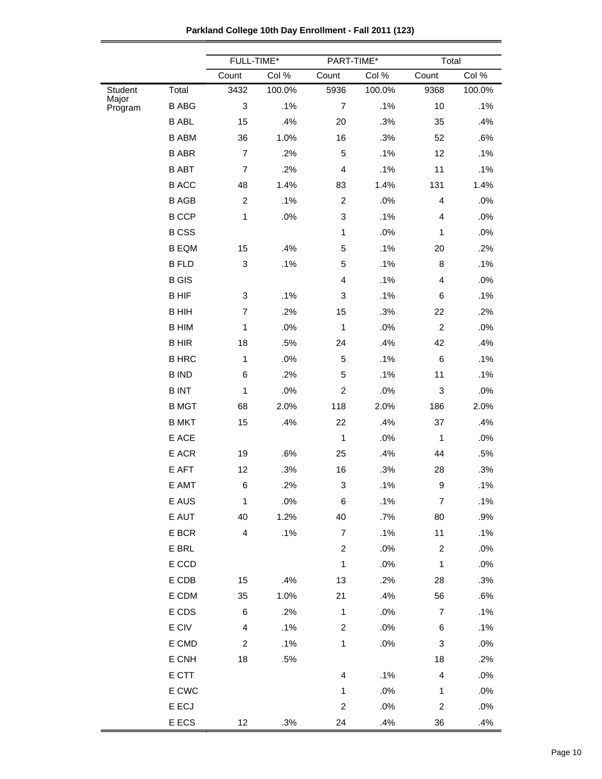| Parkland College 10th Day Enrollment - Fall 2011 (123) |  |  |
|--------------------------------------------------------|--|--|
|--------------------------------------------------------|--|--|

|                  |                 | FULL-TIME*                |        | PART-TIME*       |        | Total                     |        |
|------------------|-----------------|---------------------------|--------|------------------|--------|---------------------------|--------|
|                  |                 | Count                     | Col %  | Count            | Col %  | Count                     | Col %  |
| Student          | Total           | 3432                      | 100.0% | 5936             | 100.0% | 9368                      | 100.0% |
| Major<br>Program | <b>B ABG</b>    | $\ensuremath{\mathsf{3}}$ | .1%    | $\overline{7}$   | .1%    | 10                        | .1%    |
|                  | <b>B ABL</b>    | 15                        | .4%    | 20               | .3%    | 35                        | .4%    |
|                  | <b>B ABM</b>    | 36                        | 1.0%   | 16               | .3%    | 52                        | .6%    |
|                  | <b>B ABR</b>    | $\overline{7}$            | .2%    | 5                | .1%    | 12                        | .1%    |
|                  | <b>B ABT</b>    | $\overline{7}$            | .2%    | 4                | .1%    | 11                        | .1%    |
|                  | <b>B ACC</b>    | 48                        | 1.4%   | 83               | 1.4%   | 131                       | 1.4%   |
|                  | <b>B AGB</b>    | $\boldsymbol{2}$          | .1%    | $\overline{c}$   | .0%    | 4                         | .0%    |
|                  | <b>B CCP</b>    | 1                         | $.0\%$ | 3                | .1%    | 4                         | $.0\%$ |
|                  | <b>BCSS</b>     |                           |        | $\mathbf{1}$     | .0%    | 1                         | .0%    |
|                  | <b>B EQM</b>    | 15                        | .4%    | 5                | .1%    | 20                        | .2%    |
|                  | <b>B FLD</b>    | 3                         | .1%    | 5                | .1%    | 8                         | .1%    |
|                  | <b>B</b> GIS    |                           |        | 4                | .1%    | 4                         | .0%    |
|                  | <b>BHIF</b>     | 3                         | .1%    | 3                | .1%    | 6                         | .1%    |
|                  | <b>BHIH</b>     | $\overline{7}$            | .2%    | 15               | .3%    | 22                        | .2%    |
|                  | <b>B HIM</b>    | 1                         | .0%    | 1                | .0%    | $\overline{c}$            | .0%    |
|                  | <b>BHIR</b>     | 18                        | .5%    | 24               | .4%    | 42                        | .4%    |
|                  | <b>B HRC</b>    | $\mathbf{1}$              | $.0\%$ | 5                | .1%    | 6                         | .1%    |
|                  | <b>B IND</b>    | 6                         | .2%    | 5                | .1%    | 11                        | .1%    |
|                  | <b>BINT</b>     | 1                         | .0%    | $\overline{c}$   | .0%    | $\ensuremath{\mathsf{3}}$ | $.0\%$ |
|                  | <b>B MGT</b>    | 68                        | 2.0%   | 118              | 2.0%   | 186                       | 2.0%   |
|                  | <b>B MKT</b>    | 15                        | .4%    | 22               | .4%    | 37                        | .4%    |
|                  | E ACE           |                           |        | 1                | .0%    | 1                         | .0%    |
|                  | E ACR           | 19                        | .6%    | 25               | .4%    | 44                        | .5%    |
|                  | E AFT           | 12                        | .3%    | 16               | .3%    | 28                        | .3%    |
|                  | E AMT           | 6                         | .2%    | 3                | .1%    | 9                         | .1%    |
|                  | E AUS           | $\mathbf 1$               | .0%    | 6                | .1%    | $\overline{7}$            | .1%    |
|                  | E AUT           | 40                        | 1.2%   | 40               | .7%    | 80                        | .9%    |
|                  | E BCR           | $\overline{\mathbf{4}}$   | .1%    | $\overline{7}$   | .1%    | 11                        | .1%    |
|                  | E BRL           |                           |        | $\overline{c}$   | .0%    | $\overline{c}$            | .0%    |
|                  | $\mathsf E$ CCD |                           |        | $\mathbf{1}$     | .0%    | $\mathbf{1}$              | .0%    |
|                  | E CDB           | 15                        | .4%    | 13               | .2%    | 28                        | .3%    |
|                  | E CDM           | 35                        | 1.0%   | 21               | .4%    | 56                        | .6%    |
|                  | E CDS           | 6                         | .2%    | $\mathbf{1}$     | .0%    | $\overline{7}$            | .1%    |
|                  | $\mathsf E$ CIV | $\overline{\mathbf{4}}$   | .1%    | $\boldsymbol{2}$ | .0%    | 6                         | .1%    |
|                  | E CMD           | $\overline{c}$            | .1%    | $\mathbf{1}$     | $.0\%$ | 3                         | .0%    |
|                  | E CNH           | 18                        | .5%    |                  |        | 18                        | .2%    |
|                  | E CTT           |                           |        | 4                | .1%    | $\overline{4}$            | .0%    |
|                  | E CWC           |                           |        | $\mathbf{1}$     | .0%    | 1                         | .0%    |
|                  | E ECJ           |                           |        | $\overline{c}$   | .0%    | $\overline{c}$            | .0%    |
|                  | E ECS           | $12 \overline{ }$         | .3%    | 24               | .4%    | 36                        | .4%    |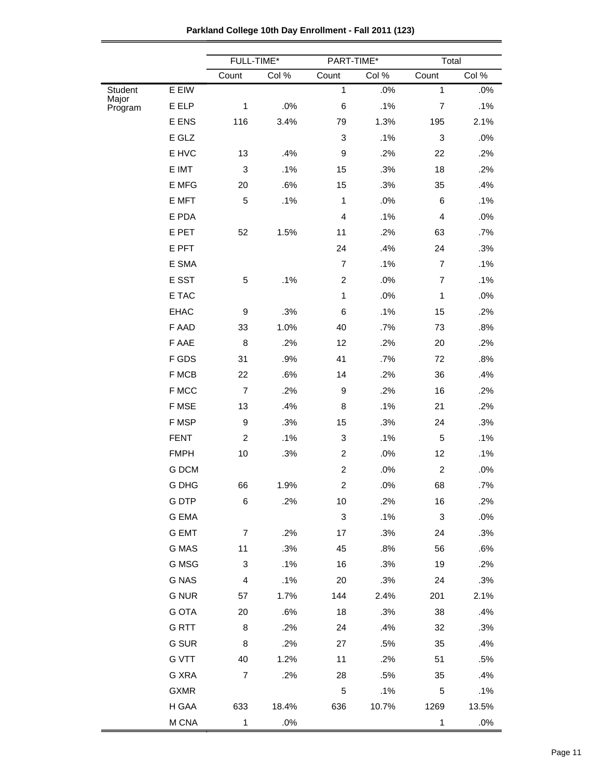|                  |              | FULL-TIME*                |        | PART-TIME*                |        | Total                   |       |
|------------------|--------------|---------------------------|--------|---------------------------|--------|-------------------------|-------|
|                  |              | Count                     | Col %  | Count                     | Col %  | Count                   | Col % |
| Student<br>Major | E EIW        |                           |        | $\mathbf{1}$              | $.0\%$ | $\mathbf{1}$            | .0%   |
| Program          | E ELP        | $\mathbf{1}$              | .0%    | 6                         | .1%    | $\overline{7}$          | .1%   |
|                  | E ENS        | 116                       | 3.4%   | 79                        | 1.3%   | 195                     | 2.1%  |
|                  | E GLZ        |                           |        | 3                         | .1%    | 3                       | .0%   |
|                  | E HVC        | 13                        | .4%    | 9                         | .2%    | 22                      | .2%   |
|                  | E IMT        | $\ensuremath{\mathsf{3}}$ | .1%    | 15                        | .3%    | 18                      | .2%   |
|                  | E MFG        | 20                        | .6%    | 15                        | .3%    | 35                      | .4%   |
|                  | E MFT        | 5                         | .1%    | $\mathbf{1}$              | .0%    | 6                       | .1%   |
|                  | E PDA        |                           |        | 4                         | .1%    | $\overline{\mathbf{4}}$ | .0%   |
|                  | E PET        | 52                        | 1.5%   | 11                        | .2%    | 63                      | .7%   |
|                  | E PFT        |                           |        | 24                        | .4%    | 24                      | .3%   |
|                  | E SMA        |                           |        | $\overline{7}$            | .1%    | $\overline{7}$          | .1%   |
|                  | E SST        | 5                         | .1%    | $\overline{c}$            | .0%    | $\overline{7}$          | .1%   |
|                  | E TAC        |                           |        | $\mathbf{1}$              | .0%    | $\mathbf{1}$            | .0%   |
|                  | <b>EHAC</b>  | 9                         | .3%    | 6                         | .1%    | 15                      | .2%   |
|                  | F AAD        | 33                        | 1.0%   | 40                        | .7%    | 73                      | .8%   |
|                  | F AAE        | $\bf8$                    | .2%    | 12                        | .2%    | 20                      | .2%   |
|                  | F GDS        | 31                        | .9%    | 41                        | .7%    | 72                      | .8%   |
|                  | F MCB        | 22                        | .6%    | 14                        | .2%    | 36                      | .4%   |
|                  | F MCC        | $\overline{7}$            | .2%    | 9                         | .2%    | 16                      | .2%   |
|                  | F MSE        | 13                        | .4%    | 8                         | .1%    | 21                      | .2%   |
|                  | F MSP        | $\boldsymbol{9}$          | .3%    | 15                        | .3%    | 24                      | .3%   |
|                  | <b>FENT</b>  | $\overline{c}$            | .1%    | 3                         | .1%    | 5                       | .1%   |
|                  | <b>FMPH</b>  | 10                        | .3%    | $\overline{c}$            | .0%    | 12                      | .1%   |
|                  | G DCM        |                           |        | $\overline{c}$            | .0%    | $\overline{c}$          | .0%   |
|                  | G DHG        | 66                        | 1.9%   | $\overline{c}$            | .0%    | 68                      | .7%   |
|                  | <b>GDTP</b>  | 6                         | .2%    | 10                        | .2%    | 16                      | .2%   |
|                  | G EMA        |                           |        | $\ensuremath{\mathsf{3}}$ | .1%    | $\sqrt{3}$              | .0%   |
|                  | <b>G EMT</b> | $\overline{7}$            | .2%    | 17                        | .3%    | 24                      | .3%   |
|                  | G MAS        | 11                        | .3%    | 45                        | .8%    | 56                      | .6%   |
|                  | G MSG        | 3                         | .1%    | 16                        | .3%    | 19                      | .2%   |
|                  | <b>G NAS</b> | $\overline{\mathbf{4}}$   | .1%    | 20                        | .3%    | 24                      | .3%   |
|                  | <b>G NUR</b> | 57                        | 1.7%   | 144                       | 2.4%   | 201                     | 2.1%  |
|                  | <b>G OTA</b> | 20                        | .6%    | 18                        | .3%    | 38                      | .4%   |
|                  | <b>GRTT</b>  | $\bf 8$                   | .2%    | 24                        | .4%    | 32                      | .3%   |
|                  | G SUR        | 8                         | .2%    | 27                        | .5%    | 35                      | .4%   |
|                  | <b>G VTT</b> | 40                        | 1.2%   | 11                        | .2%    | 51                      | .5%   |
|                  | G XRA        | $\overline{7}$            | .2%    | 28                        | .5%    | 35                      | .4%   |
|                  | <b>GXMR</b>  |                           |        | 5                         | .1%    | 5                       | .1%   |
|                  | H GAA        | 633                       | 18.4%  | 636                       | 10.7%  | 1269                    | 13.5% |
|                  | M CNA        | 1                         | $.0\%$ |                           |        | 1                       | .0%   |

**Parkland College 10th Day Enrollment - Fall 2011 (123)**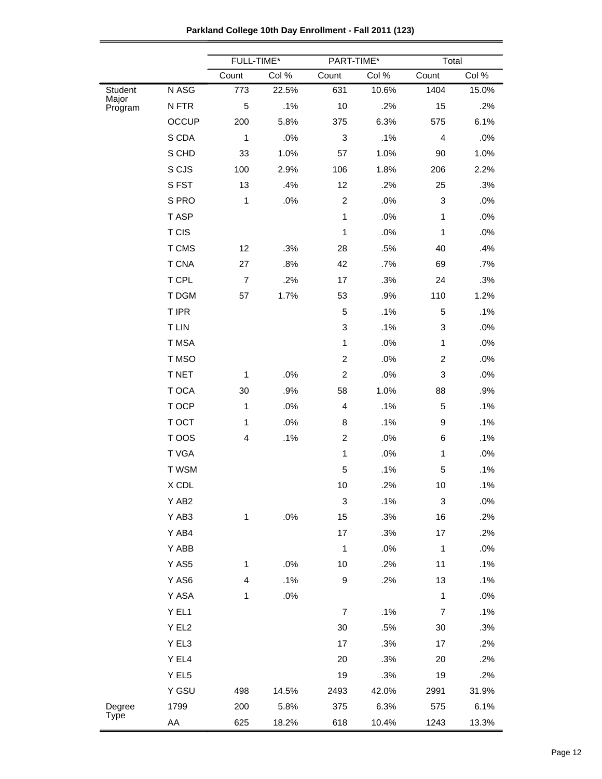| Parkland College 10th Day Enrollment - Fall 2011 (123) |  |  |  |
|--------------------------------------------------------|--|--|--|
|--------------------------------------------------------|--|--|--|

|                       |              | FULL-TIME*              |       | PART-TIME*       |       | Total          |        |
|-----------------------|--------------|-------------------------|-------|------------------|-------|----------------|--------|
|                       |              | Count                   | Col % | Count            | Col % | Count          | Col %  |
| Student               | N ASG        | 773                     | 22.5% | 631              | 10.6% | 1404           | 15.0%  |
| Major<br>Program      | N FTR        | 5                       | .1%   | 10               | .2%   | 15             | .2%    |
|                       | OCCUP        | 200                     | 5.8%  | 375              | 6.3%  | 575            | 6.1%   |
|                       | S CDA        | 1                       | .0%   | 3                | .1%   | $\overline{4}$ | .0%    |
|                       | S CHD        | 33                      | 1.0%  | 57               | 1.0%  | 90             | 1.0%   |
|                       | S CJS        | 100                     | 2.9%  | 106              | 1.8%  | 206            | 2.2%   |
|                       | SFST         | 13                      | .4%   | 12               | .2%   | 25             | .3%    |
|                       | S PRO        | $\mathbf{1}$            | .0%   | $\overline{c}$   | .0%   | 3              | .0%    |
|                       | T ASP        |                         |       | $\mathbf{1}$     | .0%   | $\mathbf 1$    | .0%    |
|                       | T CIS        |                         |       | $\mathbf{1}$     | .0%   | $\mathbf{1}$   | .0%    |
|                       | T CMS        | 12                      | .3%   | 28               | .5%   | 40             | .4%    |
|                       | <b>T CNA</b> | 27                      | .8%   | 42               | .7%   | 69             | .7%    |
|                       | T CPL        | $\overline{7}$          | .2%   | 17               | .3%   | 24             | .3%    |
|                       | T DGM        | 57                      | 1.7%  | 53               | .9%   | 110            | 1.2%   |
|                       | T IPR        |                         |       | 5                | .1%   | 5              | .1%    |
|                       | T LIN        |                         |       | 3                | .1%   | 3              | .0%    |
|                       | T MSA        |                         |       | $\mathbf{1}$     | .0%   | $\mathbf{1}$   | .0%    |
|                       | T MSO        |                         |       | $\overline{c}$   | .0%   | $\overline{c}$ | .0%    |
|                       | T NET        | 1                       | .0%   | $\overline{c}$   | .0%   | $\mathbf 3$    | .0%    |
|                       | T OCA        | 30                      | .9%   | 58               | 1.0%  | 88             | .9%    |
|                       | T OCP        | 1                       | .0%   | 4                | .1%   | 5              | .1%    |
|                       | T OCT        | $\mathbf{1}$            | .0%   | 8                | .1%   | 9              | .1%    |
|                       | T OOS        | 4                       | .1%   | $\overline{2}$   | .0%   | 6              | .1%    |
|                       | T VGA        |                         |       | $\mathbf{1}$     | .0%   | $\mathbf{1}$   | $.0\%$ |
|                       | T WSM        |                         |       | 5                | .1%   | $\sqrt{5}$     | .1%    |
|                       | X CDL        |                         |       | 10               | .2%   | 10             | .1%    |
|                       | Y AB2        |                         |       | 3                | .1%   | 3              | .0%    |
|                       | Y AB3        | $\mathbf{1}$            | .0%   | 15               | .3%   | 16             | .2%    |
|                       | Y AB4        |                         |       | 17               | .3%   | 17             | .2%    |
|                       | Y ABB        |                         |       | $\mathbf{1}$     | .0%   | $\mathbf{1}$   | .0%    |
|                       | Y AS5        | 1                       | .0%   | 10               | .2%   | 11             | .1%    |
|                       | Y AS6        | $\overline{\mathbf{4}}$ | .1%   | 9                | .2%   | 13             | .1%    |
|                       | Y ASA        | 1                       | .0%   |                  |       | $\mathbf{1}$   | .0%    |
|                       | Y EL1        |                         |       | $\boldsymbol{7}$ | .1%   | $\overline{7}$ | .1%    |
|                       | Y EL2        |                         |       | $30\,$           | .5%   | $30\,$         | .3%    |
|                       | Y EL3        |                         |       | 17               | .3%   | 17             | .2%    |
|                       | Y EL4        |                         |       | 20               | .3%   | 20             | .2%    |
|                       | Y EL5        |                         |       | 19               | .3%   | 19             | .2%    |
|                       | Y GSU        | 498                     | 14.5% | 2493             | 42.0% | 2991           | 31.9%  |
| Degree<br><b>Type</b> | 1799         | 200                     | 5.8%  | 375              | 6.3%  | 575            | 6.1%   |
|                       | AA           | 625                     | 18.2% | 618              | 10.4% | 1243           | 13.3%  |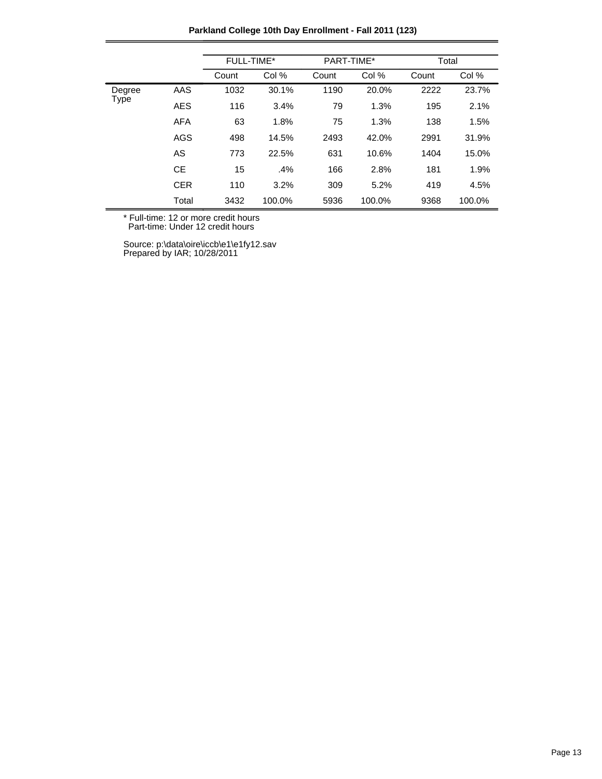**Parkland College 10th Day Enrollment - Fall 2011 (123)**

|        |            | FULL-TIME* |        | PART-TIME* |        | Total |        |
|--------|------------|------------|--------|------------|--------|-------|--------|
|        |            | Count      | Col %  | Count      | Col %  | Count | Col %  |
| Degree | AAS        | 1032       | 30.1%  | 1190       | 20.0%  | 2222  | 23.7%  |
| Type   | <b>AES</b> | 116        | 3.4%   | 79         | 1.3%   | 195   | 2.1%   |
|        | <b>AFA</b> | 63         | 1.8%   | 75         | 1.3%   | 138   | 1.5%   |
|        | <b>AGS</b> | 498        | 14.5%  | 2493       | 42.0%  | 2991  | 31.9%  |
|        | AS         | 773        | 22.5%  | 631        | 10.6%  | 1404  | 15.0%  |
|        | <b>CE</b>  | 15         | .4%    | 166        | 2.8%   | 181   | 1.9%   |
|        | <b>CER</b> | 110        | 3.2%   | 309        | 5.2%   | 419   | 4.5%   |
|        | Total      | 3432       | 100.0% | 5936       | 100.0% | 9368  | 100.0% |

\* Full-time: 12 or more credit hours

Part-time: Under 12 credit hours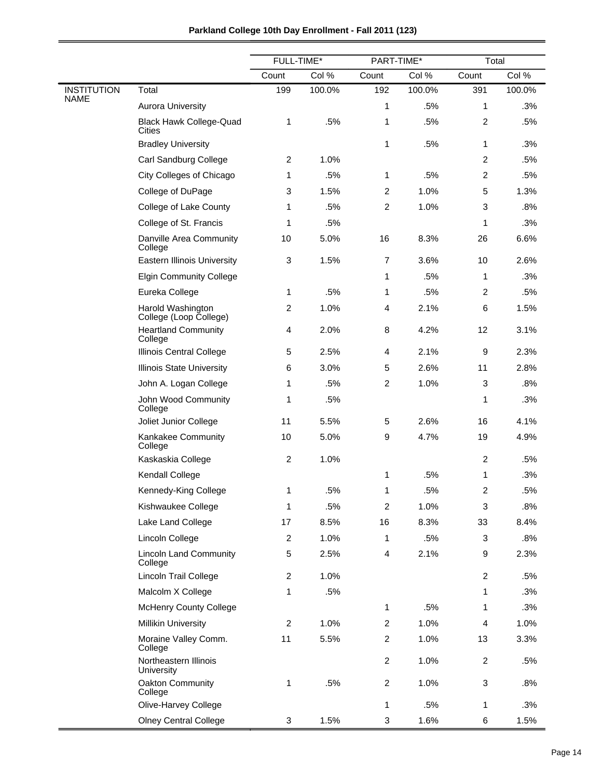|                    |                                             | FULL-TIME*     |        |                         | PART-TIME* |                           | Total  |  |
|--------------------|---------------------------------------------|----------------|--------|-------------------------|------------|---------------------------|--------|--|
|                    |                                             | Count          | Col %  | Count                   | Col %      | Count                     | Col %  |  |
| <b>INSTITUTION</b> | Total                                       | 199            | 100.0% | 192                     | 100.0%     | 391                       | 100.0% |  |
| <b>NAME</b>        | <b>Aurora University</b>                    |                |        | 1                       | .5%        | 1                         | .3%    |  |
|                    | <b>Black Hawk College-Quad</b><br>Cities    | 1              | .5%    | 1                       | .5%        | $\overline{c}$            | .5%    |  |
|                    | <b>Bradley University</b>                   |                |        | 1                       | .5%        | 1                         | .3%    |  |
|                    | Carl Sandburg College                       | $\overline{c}$ | 1.0%   |                         |            | $\overline{c}$            | .5%    |  |
|                    | City Colleges of Chicago                    | 1              | .5%    | 1                       | .5%        | $\overline{c}$            | .5%    |  |
|                    | College of DuPage                           | 3              | 1.5%   | 2                       | 1.0%       | 5                         | 1.3%   |  |
|                    | College of Lake County                      | 1              | .5%    | $\overline{c}$          | 1.0%       | 3                         | .8%    |  |
|                    | College of St. Francis                      | 1              | .5%    |                         |            | 1                         | .3%    |  |
|                    | Danville Area Community<br>College          | 10             | 5.0%   | 16                      | 8.3%       | 26                        | 6.6%   |  |
|                    | <b>Eastern Illinois University</b>          | 3              | 1.5%   | $\overline{7}$          | 3.6%       | 10                        | 2.6%   |  |
|                    | <b>Elgin Community College</b>              |                |        | 1                       | .5%        | 1                         | .3%    |  |
|                    | Eureka College                              | 1              | .5%    | 1                       | .5%        | $\overline{c}$            | .5%    |  |
|                    | Harold Washington<br>College (Loop College) | $\overline{2}$ | 1.0%   | 4                       | 2.1%       | 6                         | 1.5%   |  |
|                    | <b>Heartland Community</b><br>College       | $\overline{4}$ | 2.0%   | 8                       | 4.2%       | 12                        | 3.1%   |  |
|                    | Illinois Central College                    | 5              | 2.5%   | 4                       | 2.1%       | 9                         | 2.3%   |  |
|                    | <b>Illinois State University</b>            | 6              | 3.0%   | 5                       | 2.6%       | 11                        | 2.8%   |  |
|                    | John A. Logan College                       | 1              | .5%    | $\overline{c}$          | 1.0%       | 3                         | .8%    |  |
|                    | John Wood Community<br>College              | 1              | .5%    |                         |            | 1                         | .3%    |  |
|                    | Joliet Junior College                       | 11             | 5.5%   | $\mathbf 5$             | 2.6%       | 16                        | 4.1%   |  |
|                    | Kankakee Community<br>College               | 10             | 5.0%   | 9                       | 4.7%       | 19                        | 4.9%   |  |
|                    | Kaskaskia College                           | $\overline{2}$ | 1.0%   |                         |            | $\overline{c}$            | .5%    |  |
|                    | Kendall College                             |                |        | 1                       | .5%        | 1                         | .3%    |  |
|                    | Kennedy-King College                        | 1              | .5%    | 1                       | .5%        | 2                         | .5%    |  |
|                    | Kishwaukee College                          | $\mathbf{1}$   | .5%    | $\boldsymbol{2}$        | 1.0%       | $\ensuremath{\mathsf{3}}$ | .8%    |  |
|                    | Lake Land College                           | 17             | 8.5%   | 16                      | 8.3%       | 33                        | 8.4%   |  |
|                    | Lincoln College                             | $\overline{2}$ | 1.0%   | 1                       | .5%        | 3                         | .8%    |  |
|                    | <b>Lincoln Land Community</b><br>College    | $\mathbf 5$    | 2.5%   | $\overline{\mathbf{4}}$ | 2.1%       | 9                         | 2.3%   |  |
|                    | Lincoln Trail College                       | $\overline{c}$ | 1.0%   |                         |            | $\overline{c}$            | .5%    |  |
|                    | Malcolm X College                           | 1              | .5%    |                         |            | 1                         | .3%    |  |
|                    | <b>McHenry County College</b>               |                |        | $\mathbf{1}$            | .5%        | 1                         | .3%    |  |
|                    | <b>Millikin University</b>                  | $\overline{c}$ | 1.0%   | $\boldsymbol{2}$        | 1.0%       | $\overline{4}$            | 1.0%   |  |
|                    | Moraine Valley Comm.<br>College             | 11             | 5.5%   | $\overline{c}$          | 1.0%       | 13                        | 3.3%   |  |
|                    | Northeastern Illinois<br>University         |                |        | $\boldsymbol{2}$        | 1.0%       | $\boldsymbol{2}$          | .5%    |  |
|                    | Oakton Community<br>College                 | 1              | .5%    | $\overline{c}$          | 1.0%       | $\ensuremath{\mathsf{3}}$ | .8%    |  |
|                    | Olive-Harvey College                        |                |        | 1                       | .5%        | 1                         | .3%    |  |
|                    | <b>Olney Central College</b>                | 3              | 1.5%   | 3                       | 1.6%       | 6                         | 1.5%   |  |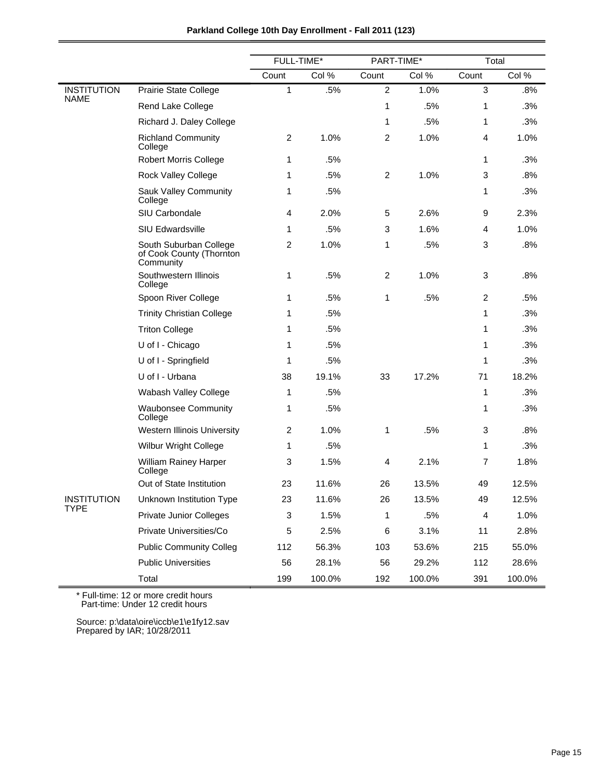|                    |                                                                 | FULL-TIME*     |        | PART-TIME*     |        | Total        |        |
|--------------------|-----------------------------------------------------------------|----------------|--------|----------------|--------|--------------|--------|
|                    |                                                                 | Count          | Col %  | Count          | Col %  | Count        | Col %  |
| <b>INSTITUTION</b> | Prairie State College                                           | 1              | .5%    | $\overline{c}$ | 1.0%   | $\mathbf{3}$ | .8%    |
| <b>NAME</b>        | Rend Lake College                                               |                |        | 1              | .5%    | 1            | .3%    |
|                    | Richard J. Daley College                                        |                |        | 1              | .5%    | 1            | .3%    |
|                    | <b>Richland Community</b><br>College                            | $\overline{c}$ | 1.0%   | $\overline{c}$ | 1.0%   | 4            | 1.0%   |
|                    | <b>Robert Morris College</b>                                    | 1              | .5%    |                |        | 1            | .3%    |
|                    | <b>Rock Valley College</b>                                      | 1              | .5%    | $\overline{c}$ | 1.0%   | 3            | .8%    |
|                    | Sauk Valley Community<br>College                                | 1              | .5%    |                |        | 1            | .3%    |
|                    | SIU Carbondale                                                  | 4              | 2.0%   | 5              | 2.6%   | 9            | 2.3%   |
|                    | <b>SIU Edwardsville</b>                                         | 1              | .5%    | 3              | 1.6%   | 4            | 1.0%   |
|                    | South Suburban College<br>of Cook County (Thornton<br>Community | 2              | 1.0%   | 1              | .5%    | 3            | .8%    |
|                    | Southwestern Illinois<br>College                                | 1              | .5%    | $\overline{c}$ | 1.0%   | 3            | $.8\%$ |
|                    | Spoon River College                                             | 1              | .5%    | 1              | .5%    | 2            | .5%    |
|                    | <b>Trinity Christian College</b>                                | 1              | .5%    |                |        | 1            | .3%    |
|                    | <b>Triton College</b>                                           | 1              | .5%    |                |        | 1            | .3%    |
|                    | U of I - Chicago                                                | 1              | .5%    |                |        | 1            | .3%    |
|                    | U of I - Springfield                                            | 1              | .5%    |                |        | 1            | .3%    |
|                    | U of I - Urbana                                                 | 38             | 19.1%  | 33             | 17.2%  | 71           | 18.2%  |
|                    | Wabash Valley College                                           | 1              | .5%    |                |        | 1            | .3%    |
|                    | <b>Waubonsee Community</b><br>College                           | 1              | .5%    |                |        | 1            | .3%    |
|                    | Western Illinois University                                     | 2              | 1.0%   | 1              | .5%    | 3            | .8%    |
|                    | <b>Wilbur Wright College</b>                                    | 1              | .5%    |                |        | 1            | .3%    |
|                    | William Rainey Harper<br>College                                | 3              | 1.5%   | 4              | 2.1%   | 7            | 1.8%   |
|                    | Out of State Institution                                        | 23             | 11.6%  | 26             | 13.5%  | 49           | 12.5%  |
| <b>INSTITUTION</b> | Unknown Institution Type                                        | 23             | 11.6%  | 26             | 13.5%  | 49           | 12.5%  |
| TYPE               | <b>Private Junior Colleges</b>                                  | 3              | 1.5%   | 1              | .5%    | 4            | 1.0%   |
|                    | Private Universities/Co                                         | 5              | 2.5%   | 6              | 3.1%   | 11           | 2.8%   |
|                    | <b>Public Community Colleg</b>                                  | 112            | 56.3%  | 103            | 53.6%  | 215          | 55.0%  |
|                    | <b>Public Universities</b>                                      | 56             | 28.1%  | 56             | 29.2%  | 112          | 28.6%  |
|                    | Total                                                           | 199            | 100.0% | 192            | 100.0% | 391          | 100.0% |